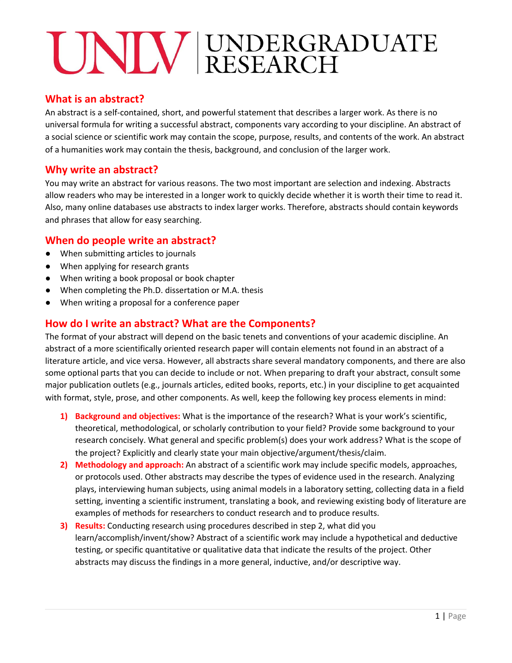#### **What is an abstract?**

An abstract is a self-contained, short, and powerful statement that describes a larger work. As there is no universal formula for writing a successful abstract, components vary according to your discipline. An abstract of a social science or scientific work may contain the scope, purpose, results, and contents of the work. An abstract of a humanities work may contain the thesis, background, and conclusion of the larger work.

# **Why write an abstract?**

You may write an abstract for various reasons. The two most important are selection and indexing. Abstracts allow readers who may be interested in a longer work to quickly decide whether it is worth their time to read it. Also, many online databases use abstracts to index larger works. Therefore, abstracts should contain keywords and phrases that allow for easy searching.

### **When do people write an abstract?**

- When submitting articles to journals
- When applying for research grants
- When writing a book proposal or book chapter
- When completing the Ph.D. dissertation or M.A. thesis
- When writing a proposal for a conference paper

### **How do I write an abstract? What are the Components?**

The format of your abstract will depend on the basic tenets and conventions of your academic discipline. An abstract of a more scientifically oriented research paper will contain elements not found in an abstract of a literature article, and vice versa. However, all abstracts share several mandatory components, and there are also some optional parts that you can decide to include or not. When preparing to draft your abstract, consult some major publication outlets (e.g., journals articles, edited books, reports, etc.) in your discipline to get acquainted with format, style, prose, and other components. As well, keep the following key process elements in mind:

- **1) Background and objectives:** What is the importance of the research? What is your work's scientific, theoretical, methodological, or scholarly contribution to your field? Provide some background to your research concisely. What general and specific problem(s) does your work address? What is the scope of the project? Explicitly and clearly state your main objective/argument/thesis/claim.
- **2) Methodology and approach:** An abstract of a scientific work may include specific models, approaches, or protocols used. Other abstracts may describe the types of evidence used in the research. Analyzing plays, interviewing human subjects, using animal models in a laboratory setting, collecting data in a field setting, inventing a scientific instrument, translating a book, and reviewing existing body of literature are examples of methods for researchers to conduct research and to produce results.
- **3) Results:** Conducting research using procedures described in step 2, what did you learn/accomplish/invent/show? Abstract of a scientific work may include a hypothetical and deductive testing, or specific quantitative or qualitative data that indicate the results of the project. Other abstracts may discuss the findings in a more general, inductive, and/or descriptive way.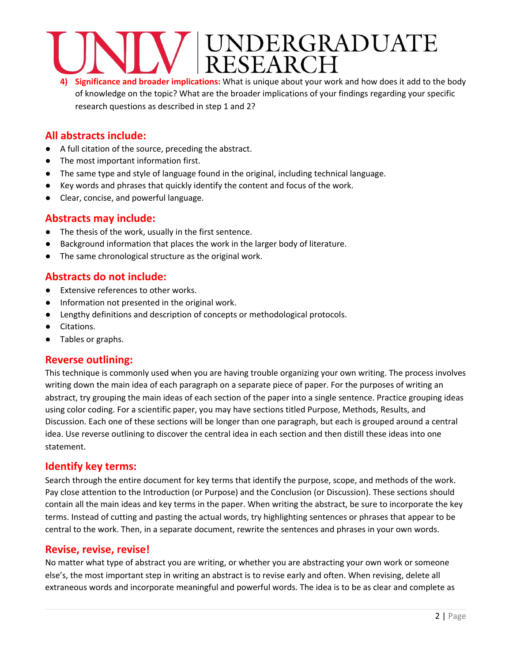# UNDERGRADUATE<br>RESEARCH

**4) Significance and broader implications:** What is unique about your work and how does it add to the body of knowledge on the topic? What are the broader implications of your findings regarding your specific research questions as described in step 1 and 2?

# **All abstracts include:**

- A full citation of the source, preceding the abstract.
- The most important information first.
- The same type and style of language found in the original, including technical language.
- Key words and phrases that quickly identify the content and focus of the work.
- Clear, concise, and powerful language.

#### **Abstracts may include:**

- The thesis of the work, usually in the first sentence.
- Background information that places the work in the larger body of literature.
- The same chronological structure as the original work.

#### **Abstracts do not include:**

- Extensive references to other works.
- Information not presented in the original work.
- Lengthy definitions and description of concepts or methodological protocols.
- Citations.
- Tables or graphs.

#### **Reverse outlining:**

This technique is commonly used when you are having trouble organizing your own writing. The process involves writing down the main idea of each paragraph on a separate piece of paper. For the purposes of writing an abstract, try grouping the main ideas of each section of the paper into a single sentence. Practice grouping ideas using color coding. For a scientific paper, you may have sections titled Purpose, Methods, Results, and Discussion. Each one of these sections will be longer than one paragraph, but each is grouped around a central idea. Use reverse outlining to discover the central idea in each section and then distill these ideas into one statement.

#### **Identify key terms:**

Search through the entire document for key terms that identify the purpose, scope, and methods of the work. Pay close attention to the Introduction (or Purpose) and the Conclusion (or Discussion). These sections should contain all the main ideas and key terms in the paper. When writing the abstract, be sure to incorporate the key terms. Instead of cutting and pasting the actual words, try highlighting sentences or phrases that appear to be central to the work. Then, in a separate document, rewrite the sentences and phrases in your own words.

#### **Revise, revise, revise!**

No matter what type of abstract you are writing, or whether you are abstracting your own work or someone else's, the most important step in writing an abstract is to revise early and often. When revising, delete all extraneous words and incorporate meaningful and powerful words. The idea is to be as clear and complete as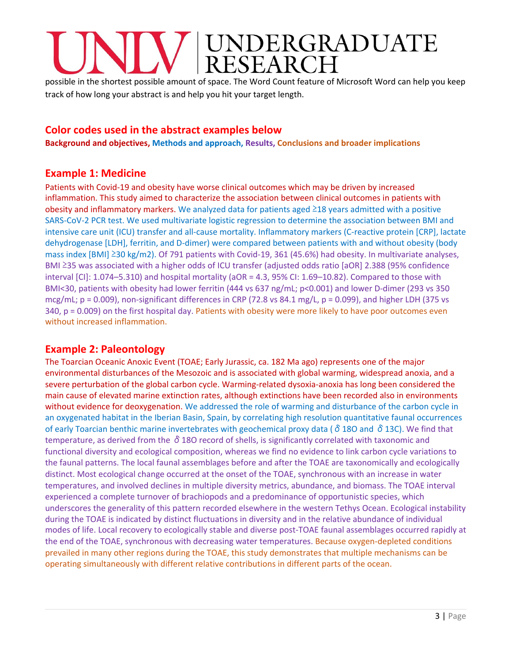# INDERGRADUATE<br>ESEARCH

possible in the shortest possible amount of space. The Word Count feature of Microsoft Word can help you keep track of how long your abstract is and help you hit your target length.

# **Color codes used in the abstract examples below**

**Background and objectives, Methods and approach, Results, Conclusions and broader implications**

# **Example 1: Medicine**

Patients with Covid-19 and obesity have worse clinical outcomes which may be driven by increased inflammation. This study aimed to characterize the association between clinical outcomes in patients with obesity and inflammatory markers. We analyzed data for patients aged ≥18 years admitted with a positive SARS-CoV-2 PCR test. We used multivariate logistic regression to determine the association between BMI and intensive care unit (ICU) transfer and all-cause mortality. Inflammatory markers (C-reactive protein [CRP], lactate dehydrogenase [LDH], ferritin, and D-dimer) were compared between patients with and without obesity (body mass index [BMI] ≥30 kg/m2). Of 791 patients with Covid-19, 361 (45.6%) had obesity. In multivariate analyses, BMI ≥35 was associated with a higher odds of ICU transfer (adjusted odds ratio [aOR] 2.388 (95% confidence interval [CI]: 1.074–5.310) and hospital mortality (aOR = 4.3, 95% CI: 1.69–10.82). Compared to those with BMI<30, patients with obesity had lower ferritin (444 vs 637 ng/mL; p<0.001) and lower D-dimer (293 vs 350 mcg/mL;  $p = 0.009$ ), non-significant differences in CRP (72.8 vs 84.1 mg/L,  $p = 0.099$ ), and higher LDH (375 vs 340, p = 0.009) on the first hospital day. Patients with obesity were more likely to have poor outcomes even without increased inflammation.

# **Example 2: Paleontology**

The Toarcian Oceanic Anoxic Event (TOAE; Early Jurassic, ca. 182 Ma ago) represents one of the major environmental disturbances of the Mesozoic and is associated with global warming, widespread anoxia, and a severe perturbation of the global carbon cycle. Warming-related dysoxia-anoxia has long been considered the main cause of elevated marine extinction rates, although extinctions have been recorded also in environments without evidence for deoxygenation. We addressed the role of warming and disturbance of the carbon cycle in an oxygenated habitat in the Iberian Basin, Spain, by correlating high resolution quantitative faunal occurrences of early Toarcian benthic marine invertebrates with geochemical proxy data ( $\delta$  18O and  $\delta$  13C). We find that temperature, as derived from the  $\delta$  18O record of shells, is significantly correlated with taxonomic and functional diversity and ecological composition, whereas we find no evidence to link carbon cycle variations to the faunal patterns. The local faunal assemblages before and after the TOAE are taxonomically and ecologically distinct. Most ecological change occurred at the onset of the TOAE, synchronous with an increase in water temperatures, and involved declines in multiple diversity metrics, abundance, and biomass. The TOAE interval experienced a complete turnover of brachiopods and a predominance of opportunistic species, which underscores the generality of this pattern recorded elsewhere in the western Tethys Ocean. Ecological instability during the TOAE is indicated by distinct fluctuations in diversity and in the relative abundance of individual modes of life. Local recovery to ecologically stable and diverse post-TOAE faunal assemblages occurred rapidly at the end of the TOAE, synchronous with decreasing water temperatures. Because oxygen-depleted conditions prevailed in many other regions during the TOAE, this study demonstrates that multiple mechanisms can be operating simultaneously with different relative contributions in different parts of the ocean.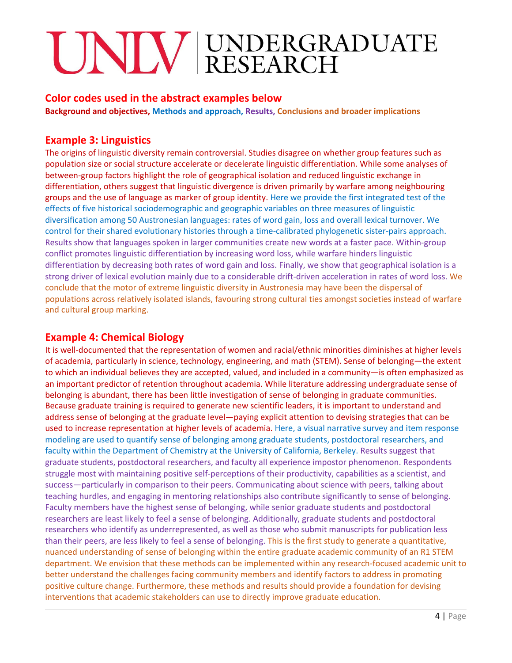#### **Color codes used in the abstract examples below**

**Background and objectives, Methods and approach, Results, Conclusions and broader implications**

### **Example 3: Linguistics**

The origins of linguistic diversity remain controversial. Studies disagree on whether group features such as population size or social structure accelerate or decelerate linguistic differentiation. While some analyses of between-group factors highlight the role of geographical isolation and reduced linguistic exchange in differentiation, others suggest that linguistic divergence is driven primarily by warfare among neighbouring groups and the use of language as marker of group identity. Here we provide the first integrated test of the effects of five historical sociodemographic and geographic variables on three measures of linguistic diversification among 50 Austronesian languages: rates of word gain, loss and overall lexical turnover. We control for their shared evolutionary histories through a time-calibrated phylogenetic sister-pairs approach. Results show that languages spoken in larger communities create new words at a faster pace. Within-group conflict promotes linguistic differentiation by increasing word loss, while warfare hinders linguistic differentiation by decreasing both rates of word gain and loss. Finally, we show that geographical isolation is a strong driver of lexical evolution mainly due to a considerable drift-driven acceleration in rates of word loss. We conclude that the motor of extreme linguistic diversity in Austronesia may have been the dispersal of populations across relatively isolated islands, favouring strong cultural ties amongst societies instead of warfare and cultural group marking.

## **Example 4: Chemical Biology**

It is well-documented that the representation of women and racial/ethnic minorities diminishes at higher levels of academia, particularly in science, technology, engineering, and math (STEM). Sense of belonging—the extent to which an individual believes they are accepted, valued, and included in a community—is often emphasized as an important predictor of retention throughout academia. While literature addressing undergraduate sense of belonging is abundant, there has been little investigation of sense of belonging in graduate communities. Because graduate training is required to generate new scientific leaders, it is important to understand and address sense of belonging at the graduate level—paying explicit attention to devising strategies that can be used to increase representation at higher levels of academia. Here, a visual narrative survey and item response modeling are used to quantify sense of belonging among graduate students, postdoctoral researchers, and faculty within the Department of Chemistry at the University of California, Berkeley. Results suggest that graduate students, postdoctoral researchers, and faculty all experience impostor phenomenon. Respondents struggle most with maintaining positive self-perceptions of their productivity, capabilities as a scientist, and success—particularly in comparison to their peers. Communicating about science with peers, talking about teaching hurdles, and engaging in mentoring relationships also contribute significantly to sense of belonging. Faculty members have the highest sense of belonging, while senior graduate students and postdoctoral researchers are least likely to feel a sense of belonging. Additionally, graduate students and postdoctoral researchers who identify as underrepresented, as well as those who submit manuscripts for publication less than their peers, are less likely to feel a sense of belonging. This is the first study to generate a quantitative, nuanced understanding of sense of belonging within the entire graduate academic community of an R1 STEM department. We envision that these methods can be implemented within any research-focused academic unit to better understand the challenges facing community members and identify factors to address in promoting positive culture change. Furthermore, these methods and results should provide a foundation for devising interventions that academic stakeholders can use to directly improve graduate education.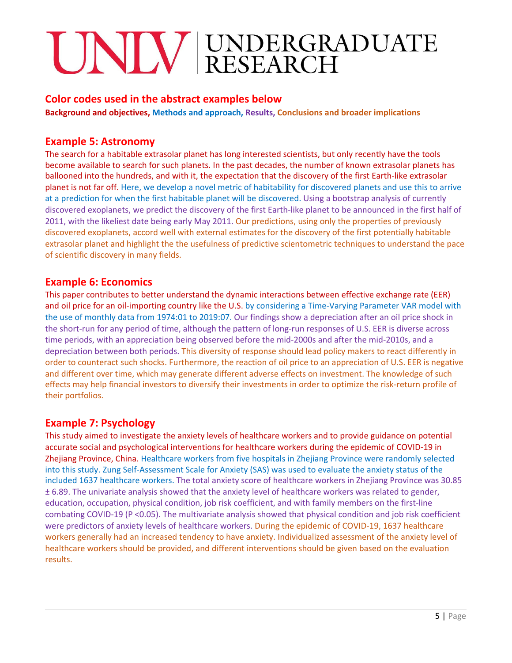### **Color codes used in the abstract examples below**

**Background and objectives, Methods and approach, Results, Conclusions and broader implications**

#### **Example 5: Astronomy**

The search for a habitable extrasolar planet has long interested scientists, but only recently have the tools become available to search for such planets. In the past decades, the number of known extrasolar planets has ballooned into the hundreds, and with it, the expectation that the discovery of the first Earth-like extrasolar planet is not far off. Here, we develop a novel metric of habitability for discovered planets and use this to arrive at a prediction for when the first habitable planet will be discovered. Using a bootstrap analysis of currently discovered exoplanets, we predict the discovery of the first Earth-like planet to be announced in the first half of 2011, with the likeliest date being early May 2011. Our predictions, using only the properties of previously discovered exoplanets, accord well with external estimates for the discovery of the first potentially habitable extrasolar planet and highlight the the usefulness of predictive scientometric techniques to understand the pace of scientific discovery in many fields.

#### **Example 6: Economics**

This paper contributes to better understand the dynamic interactions between effective exchange rate (EER) and oil price for an oil-importing country like the U.S. by considering a Time-Varying Parameter VAR model with the use of monthly data from 1974:01 to 2019:07. Our findings show a depreciation after an oil price shock in the short-run for any period of time, although the pattern of long-run responses of U.S. EER is diverse across time periods, with an appreciation being observed before the mid-2000s and after the mid-2010s, and a depreciation between both periods. This diversity of response should lead policy makers to react differently in order to counteract such shocks. Furthermore, the reaction of oil price to an appreciation of U.S. EER is negative and different over time, which may generate different adverse effects on investment. The knowledge of such effects may help financial investors to diversify their investments in order to optimize the risk-return profile of their portfolios.

### **Example 7: Psychology**

This study aimed to investigate the anxiety levels of healthcare workers and to provide guidance on potential accurate social and psychological interventions for healthcare workers during the epidemic of COVID-19 in Zhejiang Province, China. Healthcare workers from five hospitals in Zhejiang Province were randomly selected into this study. Zung Self-Assessment Scale for Anxiety (SAS) was used to evaluate the anxiety status of the included 1637 healthcare workers. The total anxiety score of healthcare workers in Zhejiang Province was 30.85 ± 6.89. The univariate analysis showed that the anxiety level of healthcare workers was related to gender, education, occupation, physical condition, job risk coefficient, and with family members on the first-line combating COVID-19 (P <0.05). The multivariate analysis showed that physical condition and job risk coefficient were predictors of anxiety levels of healthcare workers. During the epidemic of COVID-19, 1637 healthcare workers generally had an increased tendency to have anxiety. Individualized assessment of the anxiety level of healthcare workers should be provided, and different interventions should be given based on the evaluation results.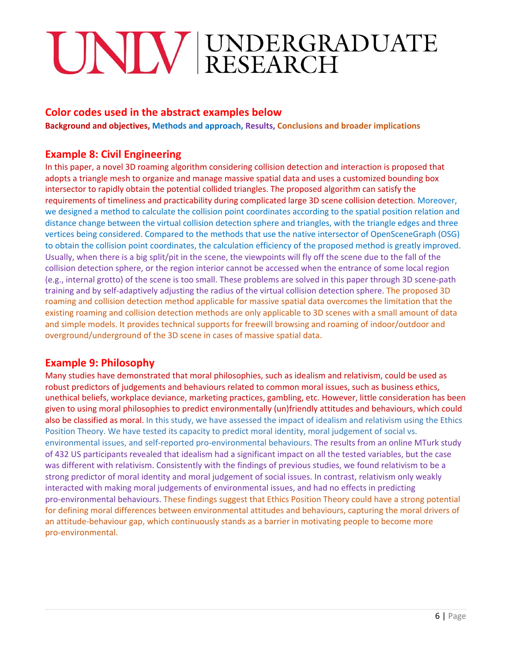# **Color codes used in the abstract examples below**

**Background and objectives, Methods and approach, Results, Conclusions and broader implications**

### **Example 8: Civil Engineering**

In this paper, a novel 3D roaming algorithm considering collision detection and interaction is proposed that adopts a triangle mesh to organize and manage massive spatial data and uses a customized bounding box intersector to rapidly obtain the potential collided triangles. The proposed algorithm can satisfy the requirements of timeliness and practicability during complicated large 3D scene collision detection. Moreover, we designed a method to calculate the collision point coordinates according to the spatial position relation and distance change between the virtual collision detection sphere and triangles, with the triangle edges and three vertices being considered. Compared to the methods that use the native intersector of OpenSceneGraph (OSG) to obtain the collision point coordinates, the calculation efficiency of the proposed method is greatly improved. Usually, when there is a big split/pit in the scene, the viewpoints will fly off the scene due to the fall of the collision detection sphere, or the region interior cannot be accessed when the entrance of some local region (e.g., internal grotto) of the scene is too small. These problems are solved in this paper through 3D scene-path training and by self-adaptively adjusting the radius of the virtual collision detection sphere. The proposed 3D roaming and collision detection method applicable for massive spatial data overcomes the limitation that the existing roaming and collision detection methods are only applicable to 3D scenes with a small amount of data and simple models. It provides technical supports for freewill browsing and roaming of indoor/outdoor and overground/underground of the 3D scene in cases of massive spatial data.

# **Example 9: Philosophy**

Many studies have demonstrated that moral philosophies, such as idealism and relativism, could be used as robust predictors of judgements and behaviours related to common moral issues, such as business ethics, unethical beliefs, workplace deviance, marketing practices, gambling, etc. However, little consideration has been given to using moral philosophies to predict environmentally (un)friendly attitudes and behaviours, which could also be classified as moral. In this study, we have assessed the impact of idealism and relativism using the Ethics Position Theory. We have tested its capacity to predict moral identity, moral judgement of social vs. environmental issues, and self-reported pro-environmental behaviours. The results from an online MTurk study of 432 US participants revealed that idealism had a significant impact on all the tested variables, but the case was different with relativism. Consistently with the findings of previous studies, we found relativism to be a strong predictor of moral identity and moral judgement of social issues. In contrast, relativism only weakly interacted with making moral judgements of environmental issues, and had no effects in predicting pro-environmental behaviours. These findings suggest that Ethics Position Theory could have a strong potential for defining moral differences between environmental attitudes and behaviours, capturing the moral drivers of an attitude-behaviour gap, which continuously stands as a barrier in motivating people to become more pro-environmental.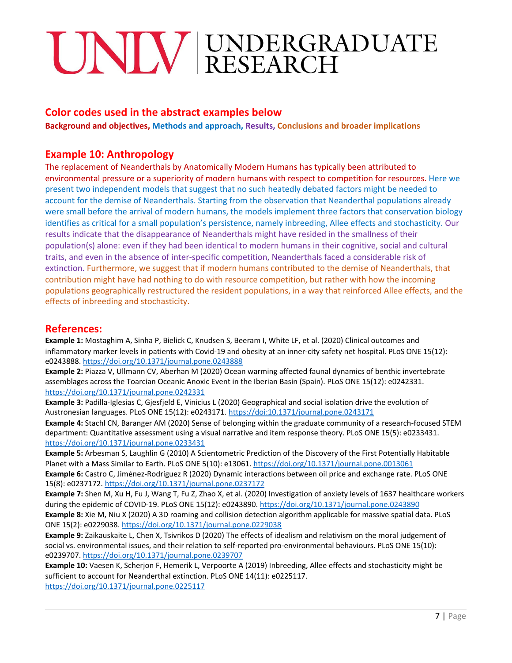## **Color codes used in the abstract examples below**

**Background and objectives, Methods and approach, Results, Conclusions and broader implications**

#### **Example 10: Anthropology**

The replacement of Neanderthals by Anatomically Modern Humans has typically been attributed to environmental pressure or a superiority of modern humans with respect to competition for resources. Here we present two independent models that suggest that no such heatedly debated factors might be needed to account for the demise of Neanderthals. Starting from the observation that Neanderthal populations already were small before the arrival of modern humans, the models implement three factors that conservation biology identifies as critical for a small population's persistence, namely inbreeding, Allee effects and stochasticity. Our results indicate that the disappearance of Neanderthals might have resided in the smallness of their population(s) alone: even if they had been identical to modern humans in their cognitive, social and cultural traits, and even in the absence of inter-specific competition, Neanderthals faced a considerable risk of extinction. Furthermore, we suggest that if modern humans contributed to the demise of Neanderthals, that contribution might have had nothing to do with resource competition, but rather with how the incoming populations geographically restructured the resident populations, in a way that reinforced Allee effects, and the effects of inbreeding and stochasticity.

#### **References:**

**Example 1:** Mostaghim A, Sinha P, Bielick C, Knudsen S, Beeram I, White LF, et al. (2020) Clinical outcomes and inflammatory marker levels in patients with Covid-19 and obesity at an inner-city safety net hospital. PLoS ONE 15(12): e0243888. <https://doi.org/10.1371/journal.pone.0243888>

**Example 2:** Piazza V, Ullmann CV, Aberhan M (2020) Ocean warming affected faunal dynamics of benthic invertebrate assemblages across the Toarcian Oceanic Anoxic Event in the Iberian Basin (Spain). PLoS ONE 15(12): e0242331. <https://doi.org/10.1371/journal.pone.0242331>

**Example 3:** Padilla-Iglesias C, Gjesfjeld E, Vinicius L (2020) Geographical and social isolation drive the evolution of Austronesian languages. PLoS ONE 15(12): e0243171. https://doi:10.1371/journal.pone.0243171

**Example 4:** Stachl CN, Baranger AM (2020) Sense of belonging within the graduate community of a research-focused STEM department: Quantitative assessment using a visual narrative and item response theory. PLoS ONE 15(5): e0233431. <https://doi.org/10.1371/journal.pone.0233431>

**Example 5:** Arbesman S, Laughlin G (2010) A Scientometric Prediction of the Discovery of the First Potentially Habitable Planet with a Mass Similar to Earth. PLoS ONE 5(10): e13061. <https://doi.org/10.1371/journal.pone.0013061> **Example 6:** Castro C, Jiménez-Rodríguez R (2020) Dynamic interactions between oil price and exchange rate. PLoS ONE 15(8): e0237172. <https://doi.org/10.1371/journal.pone.0237172>

**Example 7:** Shen M, Xu H, Fu J, Wang T, Fu Z, Zhao X, et al. (2020) Investigation of anxiety levels of 1637 healthcare workers during the epidemic of COVID-19. PLoS ONE 15(12): e0243890. <https://doi.org/10.1371/journal.pone.0243890> **Example 8:** Xie M, Niu X (2020) A 3D roaming and collision detection algorithm applicable for massive spatial data. PLoS ONE 15(2): e0229038. <https://doi.org/10.1371/journal.pone.0229038>

**Example 9:** Zaikauskaite L, Chen X, Tsivrikos D (2020) The effects of idealism and relativism on the moral judgement of social vs. environmental issues, and their relation to self-reported pro-environmental behaviours. PLoS ONE 15(10): e0239707. <https://doi.org/10.1371/journal.pone.0239707>

**Example 10:** Vaesen K, Scherjon F, Hemerik L, Verpoorte A (2019) Inbreeding, Allee effects and stochasticity might be sufficient to account for Neanderthal extinction. PLoS ONE 14(11): e0225117. <https://doi.org/10.1371/journal.pone.0225117>